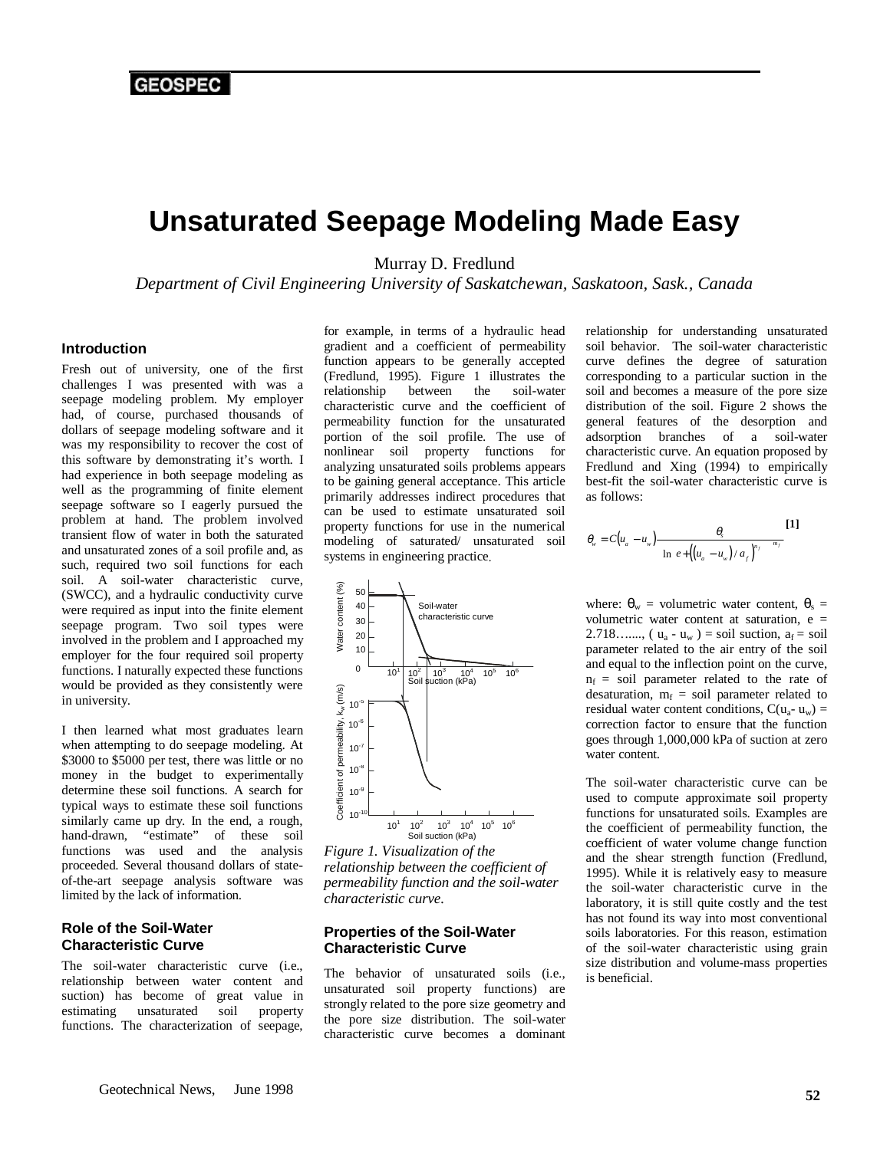# **Unsaturated Seepage Modeling Made Easy**

Murray D. Fredlund

*Department of Civil Engineering University of Saskatchewan, Saskatoon, Sask., Canada*

#### **Introduction**

Fresh out of university, one of the first challenges I was presented with was a seepage modeling problem. My employer had, of course, purchased thousands of dollars of seepage modeling software and it was my responsibility to recover the cost of this software by demonstrating it's worth. I had experience in both seepage modeling as well as the programming of finite element seepage software so I eagerly pursued the problem at hand. The problem involved transient flow of water in both the saturated and unsaturated zones of a soil profile and, as such, required two soil functions for each soil. A soil-water characteristic curve, (SWCC), and a hydraulic conductivity curve were required as input into the finite element seepage program. Two soil types were involved in the problem and I approached my employer for the four required soil property functions. I naturally expected these functions would be provided as they consistently were in university.

I then learned what most graduates learn when attempting to do seepage modeling. At \$3000 to \$5000 per test, there was little or no money in the budget to experimentally determine these soil functions. A search for typical ways to estimate these soil functions similarly came up dry. In the end, a rough, hand-drawn, "estimate" of these soil functions was used and the analysis proceeded. Several thousand dollars of stateof-the-art seepage analysis software was limited by the lack of information.

### **Role of the Soil-Water Characteristic Curve**

The soil-water characteristic curve (i.e., relationship between water content and suction) has become of great value in estimating unsaturated soil property functions. The characterization of seepage, for example, in terms of a hydraulic head gradient and a coefficient of permeability function appears to be generally accepted (Fredlund, 1995). Figure 1 illustrates the relationship between the soil-water relationship between the characteristic curve and the coefficient of permeability function for the unsaturated portion of the soil profile. The use of nonlinear soil property functions for analyzing unsaturated soils problems appears to be gaining general acceptance. This article primarily addresses indirect procedures that can be used to estimate unsaturated soil property functions for use in the numerical modeling of saturated/ unsaturated soil systems in engineering practice.



*Figure 1. Visualization of the relationship between the coefficient of permeability function and the soil-water characteristic curve.*

#### **Properties of the Soil-Water Characteristic Curve**

The behavior of unsaturated soils (i.e., unsaturated soil property functions) are strongly related to the pore size geometry and the pore size distribution. The soil-water characteristic curve becomes a dominant

relationship for understanding unsaturated soil behavior. The soil-water characteristic curve defines the degree of saturation corresponding to a particular suction in the soil and becomes a measure of the pore size distribution of the soil. Figure 2 shows the general features of the desorption and adsorption branches of a soil-water characteristic curve. An equation proposed by Fredlund and Xing (1994) to empirically best-fit the soil-water characteristic curve is as follows:

$$
\theta_{w} = C(u_{a} - u_{w}) \frac{\theta_{s}}{\{\ln \left[e + \left(\left(u_{a} - u_{w}\right) / a_{f}\right)^{n_{f}}\right]\}}^{[1]}
$$

where:  $\theta_w$  = volumetric water content,  $\theta_s$  = volumetric water content at saturation, e = 2.718…...,  $(u_a - u_w) = \text{soil}$  suction,  $a_f = \text{soil}$ parameter related to the air entry of the soil and equal to the inflection point on the curve,  $n_f$  = soil parameter related to the rate of desaturation,  $m_f$  = soil parameter related to residual water content conditions,  $C(u_{a} - u_{w}) =$ correction factor to ensure that the function goes through 1,000,000 kPa of suction at zero water content.

The soil-water characteristic curve can be used to compute approximate soil property functions for unsaturated soils. Examples are the coefficient of permeability function, the coefficient of water volume change function and the shear strength function (Fredlund, 1995). While it is relatively easy to measure the soil-water characteristic curve in the laboratory, it is still quite costly and the test has not found its way into most conventional soils laboratories. For this reason, estimation of the soil-water characteristic using grain size distribution and volume-mass properties is beneficial.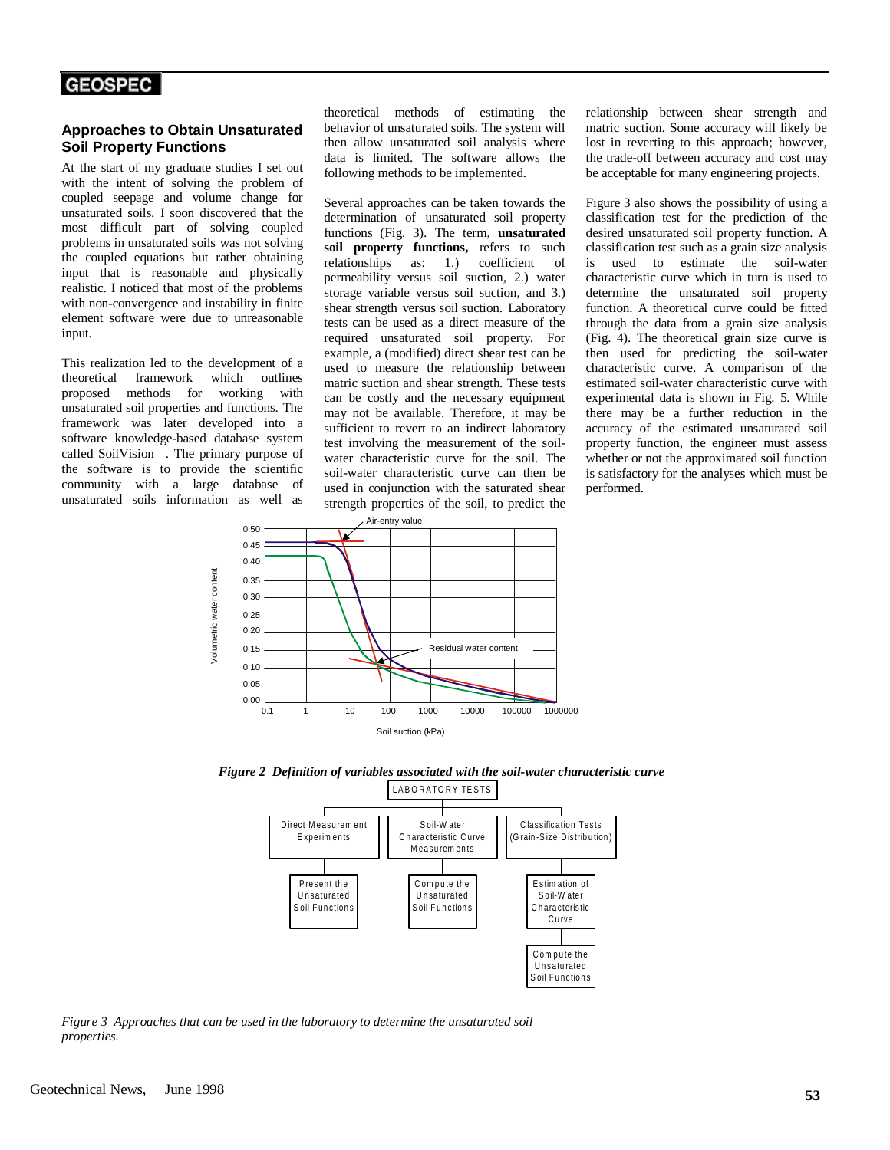#### **Approaches to Obtain Unsaturated Soil Property Functions**

At the start of my graduate studies I set out with the intent of solving the problem of coupled seepage and volume change for unsaturated soils. I soon discovered that the most difficult part of solving coupled problems in unsaturated soils was not solving the coupled equations but rather obtaining input that is reasonable and physically realistic. I noticed that most of the problems with non-convergence and instability in finite element software were due to unreasonable input.

This realization led to the development of a theoretical framework which outlines proposed methods for working with unsaturated soil properties and functions. The framework was later developed into a software knowledge-based database system called SoilVision<sup>TM</sup>. The primary purpose of the software is to provide the scientific community with a large database of unsaturated soils information as well as

theoretical methods of estimating the behavior of unsaturated soils. The system will then allow unsaturated soil analysis where data is limited. The software allows the following methods to be implemented.

Several approaches can be taken towards the determination of unsaturated soil property functions (Fig. 3). The term, **unsaturated soil property functions,** refers to such relationships as: 1.) coefficient of permeability versus soil suction, 2.) water storage variable versus soil suction, and 3.) shear strength versus soil suction. Laboratory tests can be used as a direct measure of the required unsaturated soil property. For example, a (modified) direct shear test can be used to measure the relationship between matric suction and shear strength. These tests can be costly and the necessary equipment may not be available. Therefore, it may be sufficient to revert to an indirect laboratory test involving the measurement of the soilwater characteristic curve for the soil. The soil-water characteristic curve can then be used in conjunction with the saturated shear strength properties of the soil, to predict the

 $0.50$  Air-entry value 0.45 0.40 /olumetric water content Volumetric water content 0.35 0.30 0.25 0.20 Residual water content 0.15 0.10 0.05 0.00 0.1 1 10 100 1000 10000 100000 1000000Soil suction (kPa)

relationship between shear strength and matric suction. Some accuracy will likely be lost in reverting to this approach; however, the trade-off between accuracy and cost may be acceptable for many engineering projects.

Figure 3 also shows the possibility of using a classification test for the prediction of the desired unsaturated soil property function. A classification test such as a grain size analysis is used to estimate the soil-water characteristic curve which in turn is used to determine the unsaturated soil property function. A theoretical curve could be fitted through the data from a grain size analysis (Fig. 4). The theoretical grain size curve is then used for predicting the soil-water characteristic curve. A comparison of the estimated soil-water characteristic curve with experimental data is shown in Fig. 5. While there may be a further reduction in the accuracy of the estimated unsaturated soil property function, the engineer must assess whether or not the approximated soil function is satisfactory for the analyses which must be performed.





*Figure 3 Approaches that can be used in the laboratory to determine the unsaturated soil properties.*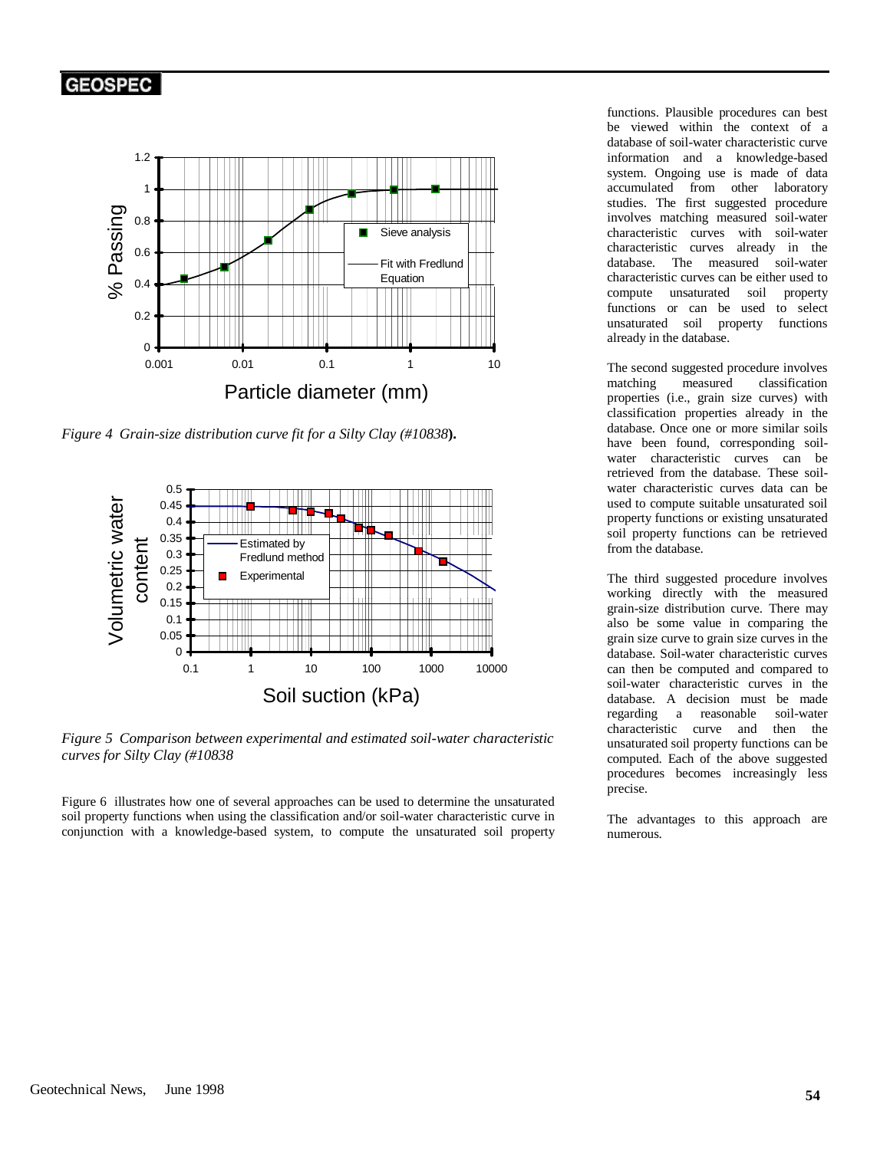

*Figure 4 Grain-size distribution curve fit for a Silty Clay (#10838***).**



*Figure 5 Comparison between experimental and estimated soil-water characteristic curves for Silty Clay (#10838*

Figure 6 illustrates how one of several approaches can be used to determine the unsaturated soil property functions when using the classification and/or soil-water characteristic curve in conjunction with a knowledge-based system, to compute the unsaturated soil property

functions. Plausible procedures can best be viewed within the context of a database of soil-water characteristic curve information and a knowledge-based system. Ongoing use is made of data accumulated from other laboratory studies. The first suggested procedure involves matching measured soil-water characteristic curves with soil-water characteristic curves already in the database. The measured soil-water characteristic curves can be either used to compute unsaturated soil property functions or can be used to select unsaturated soil property functions already in the database.

The second suggested procedure involves matching measured classification properties (i.e., grain size curves) with classification properties already in the database. Once one or more similar soils have been found, corresponding soilwater characteristic curves can be retrieved from the database. These soilwater characteristic curves data can be used to compute suitable unsaturated soil property functions or existing unsaturated soil property functions can be retrieved from the database.

The third suggested procedure involves working directly with the measured grain-size distribution curve. There may also be some value in comparing the grain size curve to grain size curves in the database. Soil-water characteristic curves can then be computed and compared to soil-water characteristic curves in the database. A decision must be made regarding a reasonable soil-water characteristic curve and then the unsaturated soil property functions can be computed. Each of the above suggested procedures becomes increasingly less precise.

The advantages to this approach are numerous.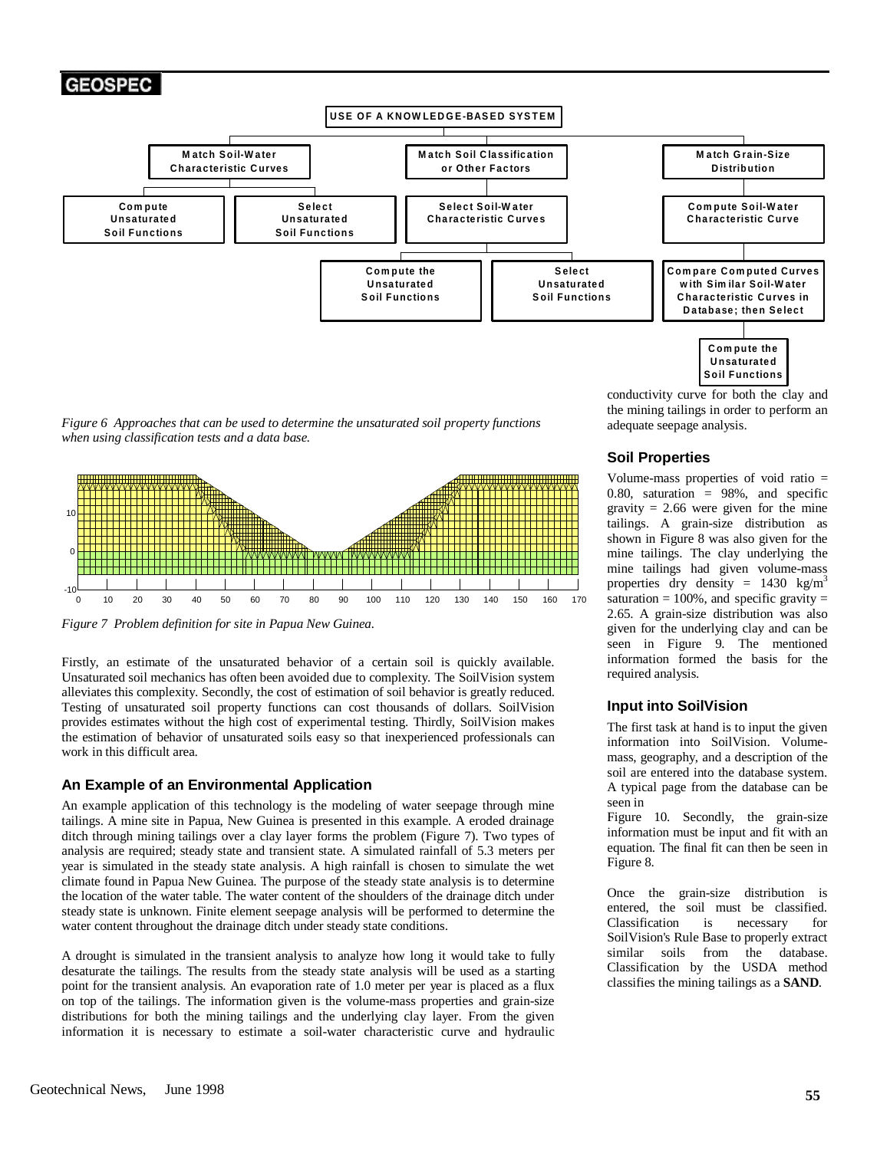

*Figure 6 Approaches that can be used to determine the unsaturated soil property functions when using classification tests and a data base.*



*Figure 7 Problem definition for site in Papua New Guinea.*

Firstly, an estimate of the unsaturated behavior of a certain soil is quickly available. Unsaturated soil mechanics has often been avoided due to complexity. The SoilVision system alleviates this complexity. Secondly, the cost of estimation of soil behavior is greatly reduced. Testing of unsaturated soil property functions can cost thousands of dollars. SoilVision provides estimates without the high cost of experimental testing. Thirdly, SoilVision makes the estimation of behavior of unsaturated soils easy so that inexperienced professionals can work in this difficult area.

### **An Example of an Environmental Application**

An example application of this technology is the modeling of water seepage through mine tailings. A mine site in Papua, New Guinea is presented in this example. A eroded drainage ditch through mining tailings over a clay layer forms the problem (Figure 7). Two types of analysis are required; steady state and transient state. A simulated rainfall of 5.3 meters per year is simulated in the steady state analysis. A high rainfall is chosen to simulate the wet climate found in Papua New Guinea. The purpose of the steady state analysis is to determine the location of the water table. The water content of the shoulders of the drainage ditch under steady state is unknown. Finite element seepage analysis will be performed to determine the water content throughout the drainage ditch under steady state conditions.

A drought is simulated in the transient analysis to analyze how long it would take to fully desaturate the tailings. The results from the steady state analysis will be used as a starting point for the transient analysis. An evaporation rate of 1.0 meter per year is placed as a flux on top of the tailings. The information given is the volume-mass properties and grain-size distributions for both the mining tailings and the underlying clay layer. From the given information it is necessary to estimate a soil-water characteristic curve and hydraulic

conductivity curve for both the clay and the mining tailings in order to perform an adequate seepage analysis.

### **Soil Properties**

Volume-mass properties of void ratio = 0.80, saturation  $= 98\%$ , and specific gravity  $= 2.66$  were given for the mine tailings. A grain-size distribution as shown in Figure 8 was also given for the mine tailings. The clay underlying the mine tailings had given volume-mass properties dry density =  $1430 \text{ kg/m}^3$ saturation  $= 100\%$ , and specific gravity  $=$ 2.65. A grain-size distribution was also given for the underlying clay and can be seen in Figure 9. The mentioned information formed the basis for the required analysis.

### **Input into SoilVision**

The first task at hand is to input the given information into SoilVision. Volumemass, geography, and a description of the soil are entered into the database system. A typical page from the database can be seen in

Figure 10. Secondly, the grain-size information must be input and fit with an equation. The final fit can then be seen in Figure 8.

Once the grain-size distribution is entered, the soil must be classified. Classification is necessary for Soil Vision's Rule Base to properly extract<br>similar soils from the database. similar soils from Classification by the USDA method classifies the mining tailings as a **SAND**.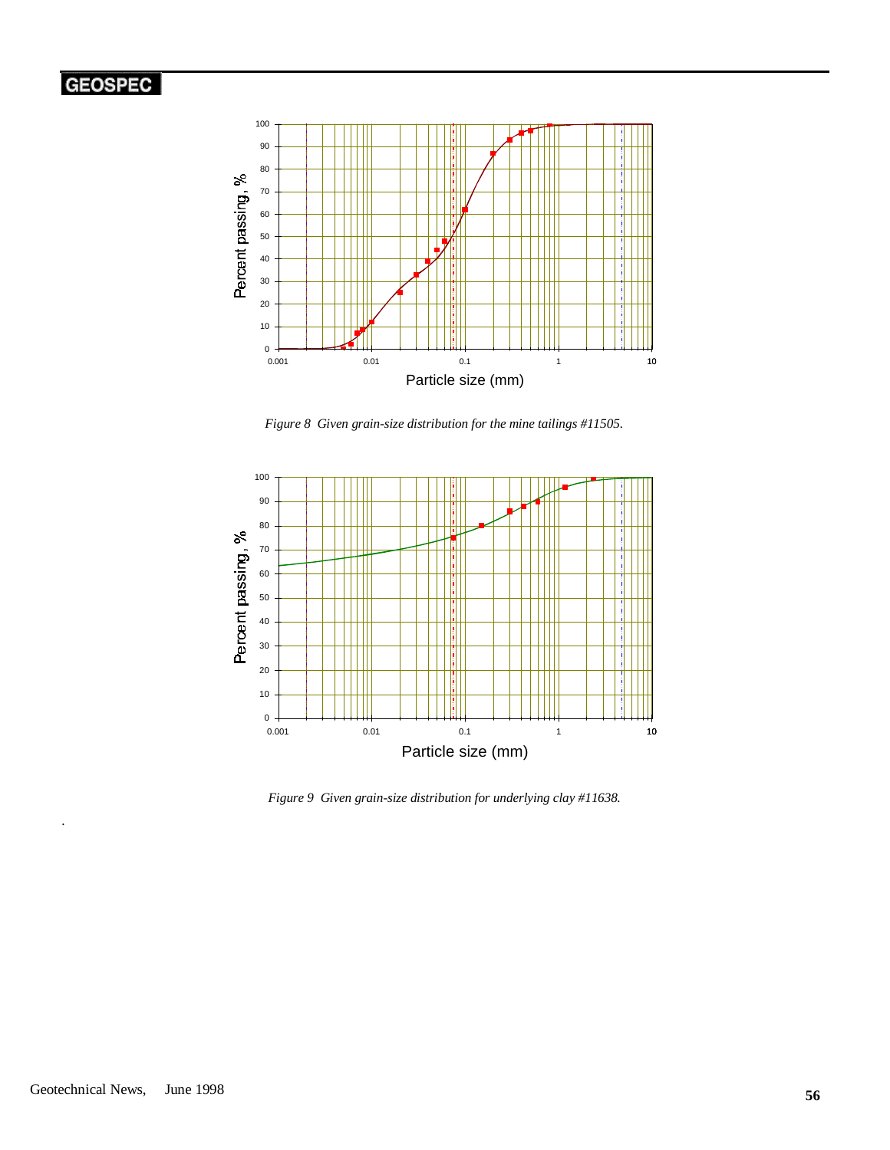

*Figure 8 Given grain-size distribution for the mine tailings #11505.*



*Figure 9 Given grain-size distribution for underlying clay #11638.*

.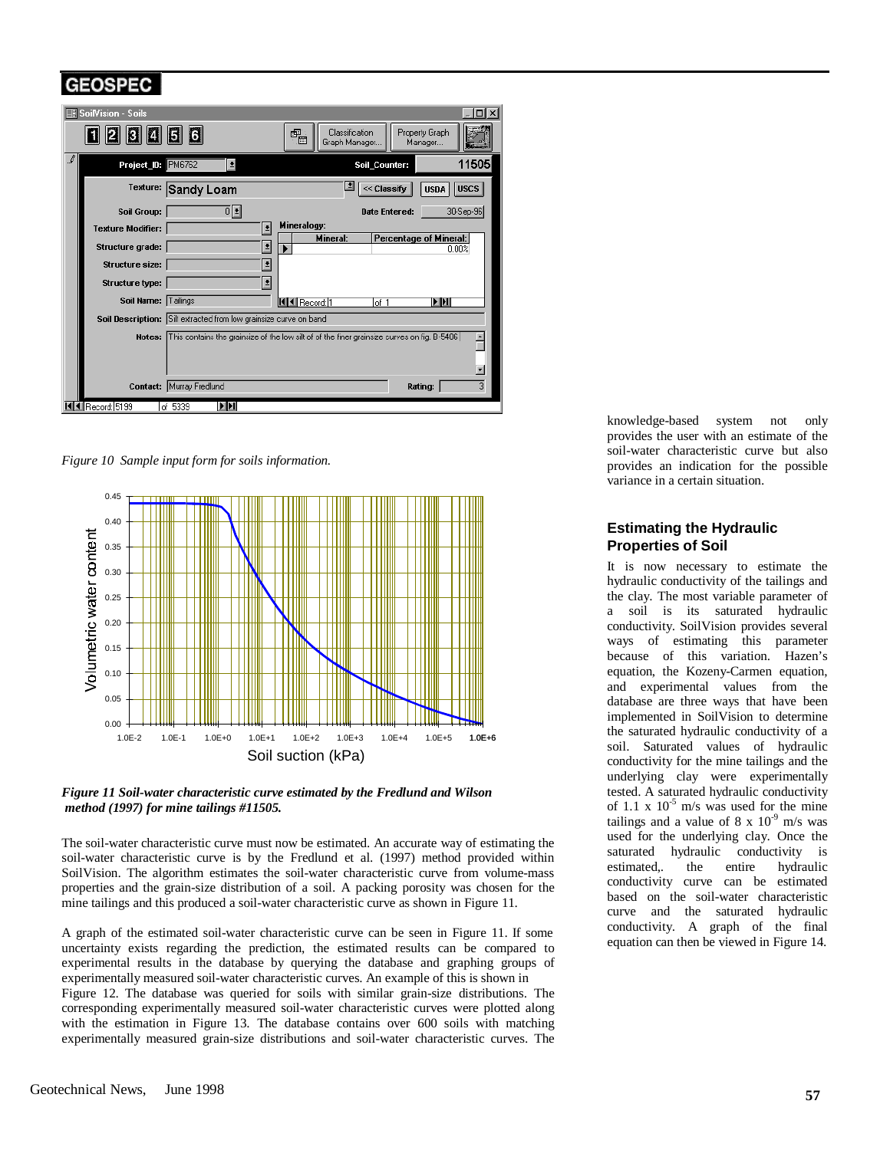

*Figure 10 Sample input form for soils information.*



*Figure 11 Soil-water characteristic curve estimated by the Fredlund and Wilson method (1997) for mine tailings #11505.*

The soil-water characteristic curve must now be estimated. An accurate way of estimating the soil-water characteristic curve is by the Fredlund et al. (1997) method provided within SoilVision. The algorithm estimates the soil-water characteristic curve from volume-mass properties and the grain-size distribution of a soil. A packing porosity was chosen for the mine tailings and this produced a soil-water characteristic curve as shown in Figure 11.

A graph of the estimated soil-water characteristic curve can be seen in Figure 11. If some uncertainty exists regarding the prediction, the estimated results can be compared to experimental results in the database by querying the database and graphing groups of experimentally measured soil-water characteristic curves. An example of this is shown in

Figure 12. The database was queried for soils with similar grain-size distributions. The corresponding experimentally measured soil-water characteristic curves were plotted along with the estimation in Figure 13. The database contains over 600 soils with matching experimentally measured grain-size distributions and soil-water characteristic curves. The

knowledge-based system not only provides the user with an estimate of the soil-water characteristic curve but also provides an indication for the possible variance in a certain situation.

### **Estimating the Hydraulic Properties of Soil**

It is now necessary to estimate the hydraulic conductivity of the tailings and the clay. The most variable parameter of a soil is its saturated hydraulic conductivity. SoilVision provides several ways of estimating this parameter because of this variation. Hazen's equation, the Kozeny-Carmen equation, and experimental values from the database are three ways that have been implemented in SoilVision to determine the saturated hydraulic conductivity of a soil. Saturated values of hydraulic conductivity for the mine tailings and the underlying clay were experimentally tested. A saturated hydraulic conductivity of 1.1 x  $10^{-5}$  m/s was used for the mine tailings and a value of  $8 \times 10^{-9}$  m/s was used for the underlying clay. Once the saturated hydraulic conductivity is estimated,. the entire hydraulic conductivity curve can be estimated based on the soil-water characteristic curve and the saturated hydraulic conductivity. A graph of the final equation can then be viewed in Figure 14.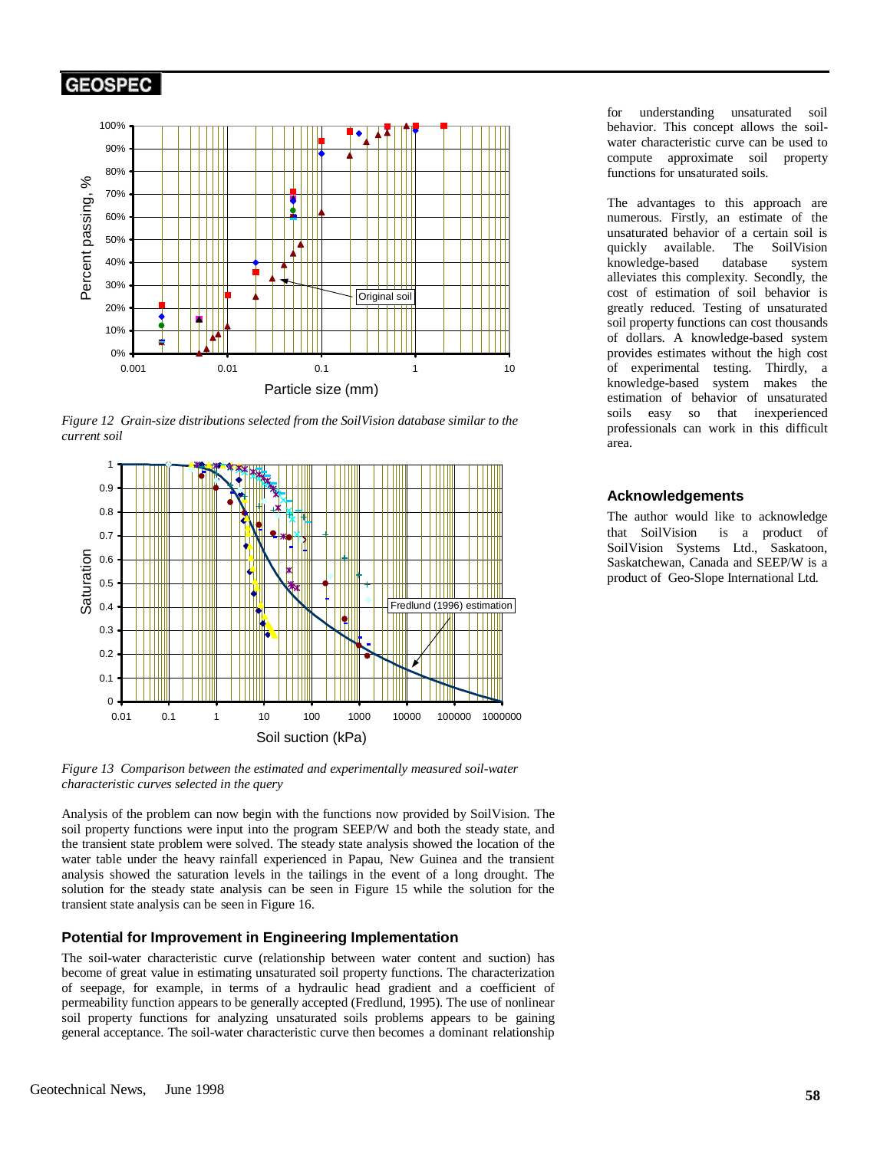

*Figure 12 Grain-size distributions selected from the SoilVision database similar to the current soil*



*Figure 13 Comparison between the estimated and experimentally measured soil-water characteristic curves selected in the query*

Analysis of the problem can now begin with the functions now provided by SoilVision. The soil property functions were input into the program SEEP/W and both the steady state, and the transient state problem were solved. The steady state analysis showed the location of the water table under the heavy rainfall experienced in Papau, New Guinea and the transient analysis showed the saturation levels in the tailings in the event of a long drought. The solution for the steady state analysis can be seen in Figure 15 while the solution for the transient state analysis can be seen in Figure 16.

#### **Potential for Improvement in Engineering Implementation**

The soil-water characteristic curve (relationship between water content and suction) has become of great value in estimating unsaturated soil property functions. The characterization of seepage, for example, in terms of a hydraulic head gradient and a coefficient of permeability function appears to be generally accepted (Fredlund, 1995). The use of nonlinear soil property functions for analyzing unsaturated soils problems appears to be gaining general acceptance. The soil-water characteristic curve then becomes a dominant relationship for understanding unsaturated soil behavior. This concept allows the soilwater characteristic curve can be used to compute approximate soil property functions for unsaturated soils.

The advantages to this approach are numerous. Firstly, an estimate of the unsaturated behavior of a certain soil is<br>quickly available. The SoilVision quickly available. The knowledge-based database system alleviates this complexity. Secondly, the cost of estimation of soil behavior is greatly reduced. Testing of unsaturated soil property functions can cost thousands of dollars. A knowledge-based system provides estimates without the high cost of experimental testing. Thirdly, a knowledge-based system makes the estimation of behavior of unsaturated soils easy so that inexperienced professionals can work in this difficult area.

#### **Acknowledgements**

The author would like to acknowledge that SoilVision $\mathbb{R}$  is a product of SoilVision Systems Ltd., Saskatoon, Saskatchewan, Canada and SEEP/W is a product of Geo-Slope International Ltd.